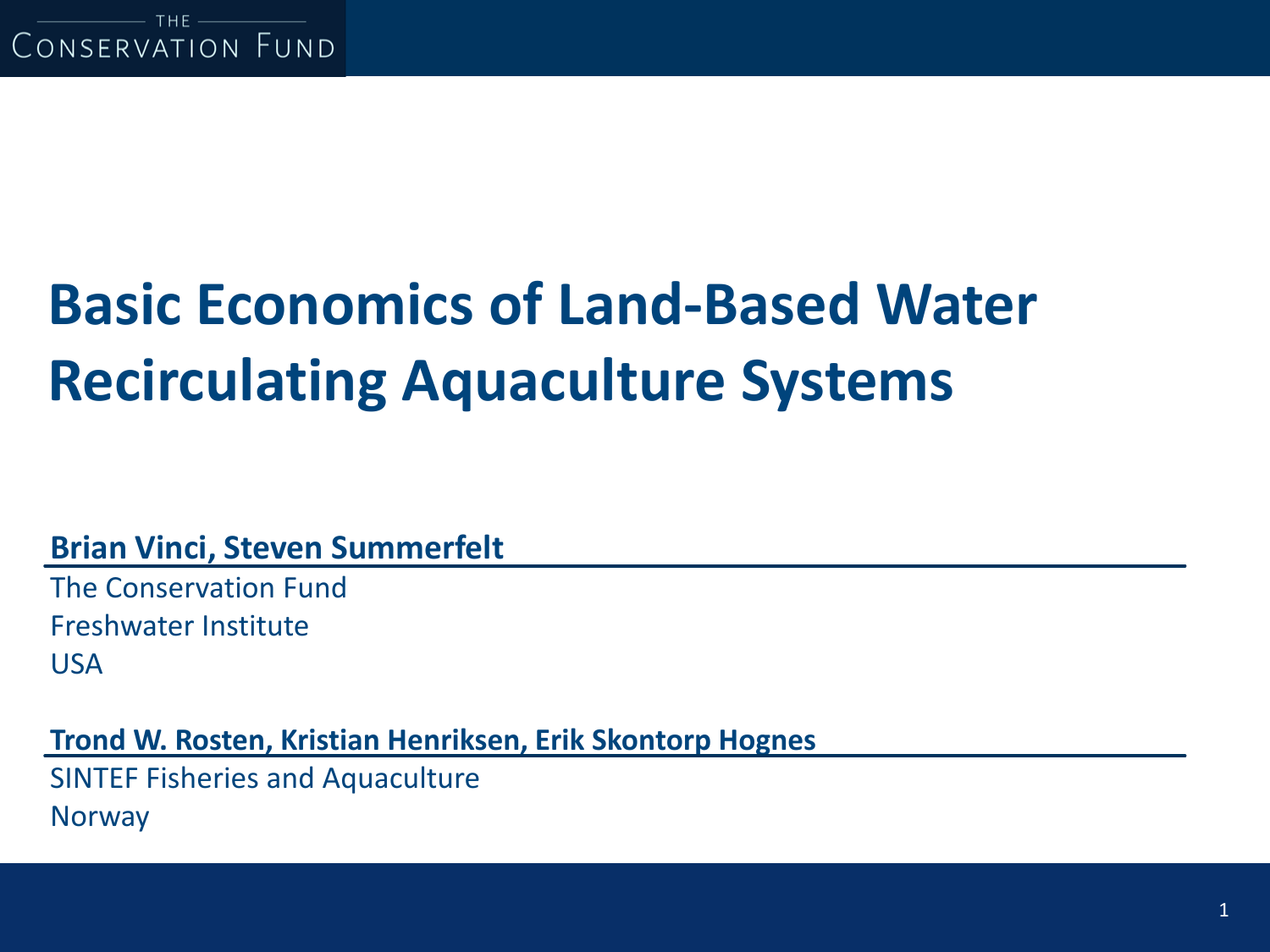# **Basic Economics of Land-Based Water Recirculating Aquaculture Systems**

**Brian Vinci, Steven Summerfelt**

The Conservation Fund Freshwater Institute USA

**Trond W. Rosten, Kristian Henriksen, Erik Skontorp Hognes**

SINTEF Fisheries and Aquaculture **Norway**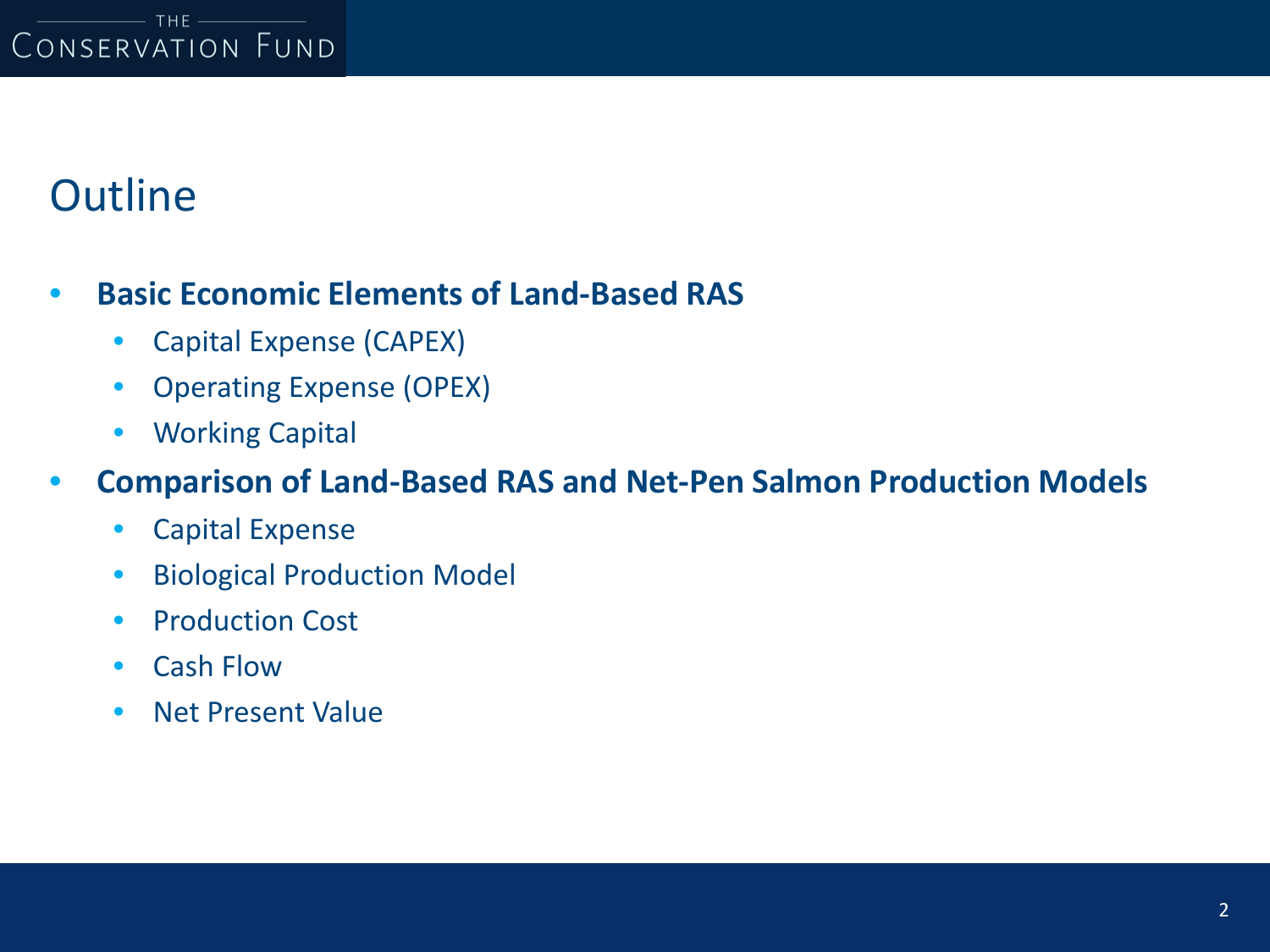## **Outline**

### • **Basic Economic Elements of Land-Based RAS**

- Capital Expense (CAPEX)
- Operating Expense (OPEX)
- Working Capital

### • **Comparison of Land-Based RAS and Net-Pen Salmon Production Models**

- Capital Expense
- Biological Production Model
- Production Cost
- Cash Flow
- Net Present Value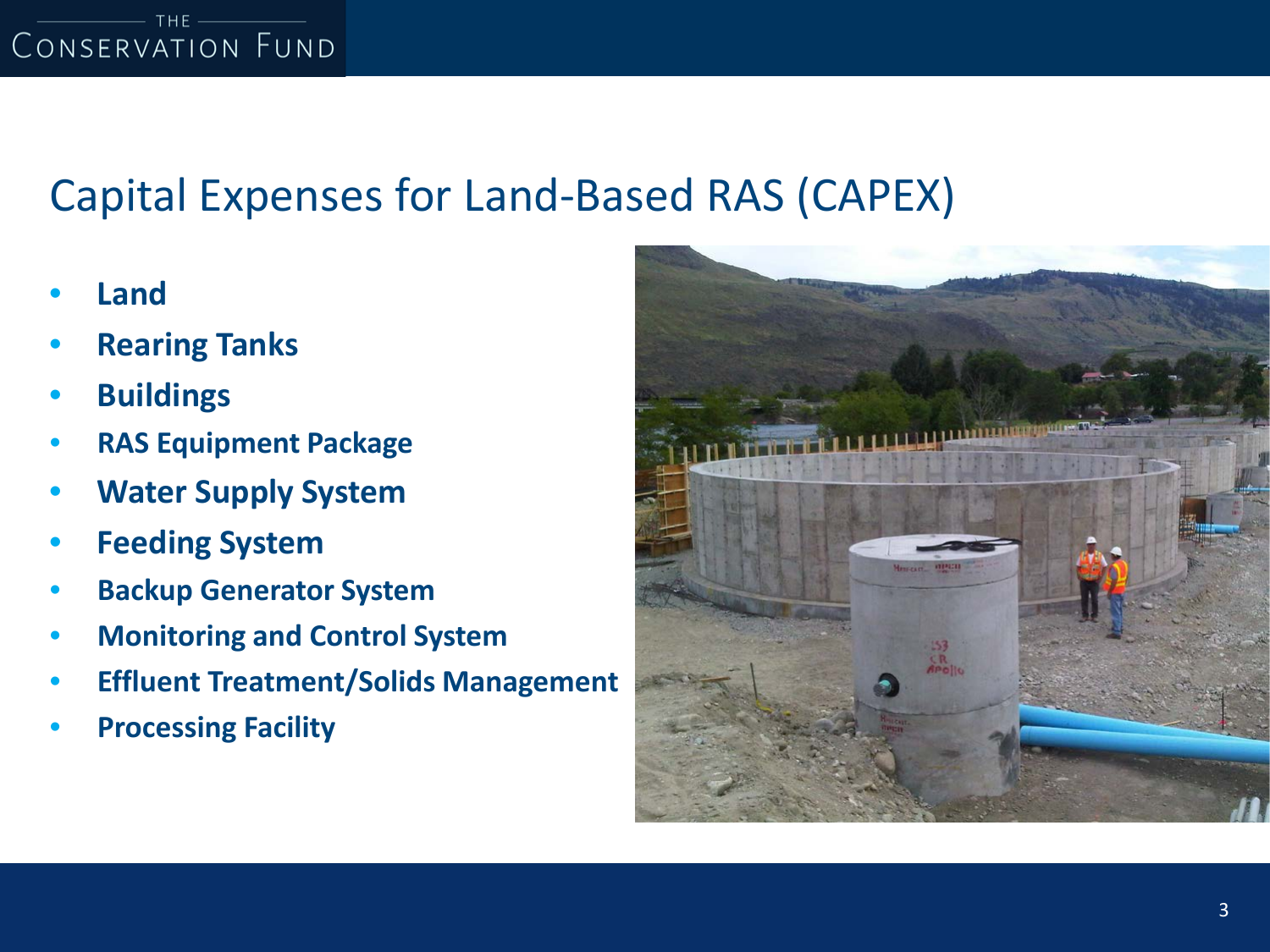# Capital Expenses for Land-Based RAS (CAPEX)

- **Land**
- **Rearing Tanks**
- **Buildings**
- **RAS Equipment Package**
- **Water Supply System**
- **Feeding System**
- **Backup Generator System**
- **Monitoring and Control System**
- **Effluent Treatment/Solids Management**
- **Processing Facility**

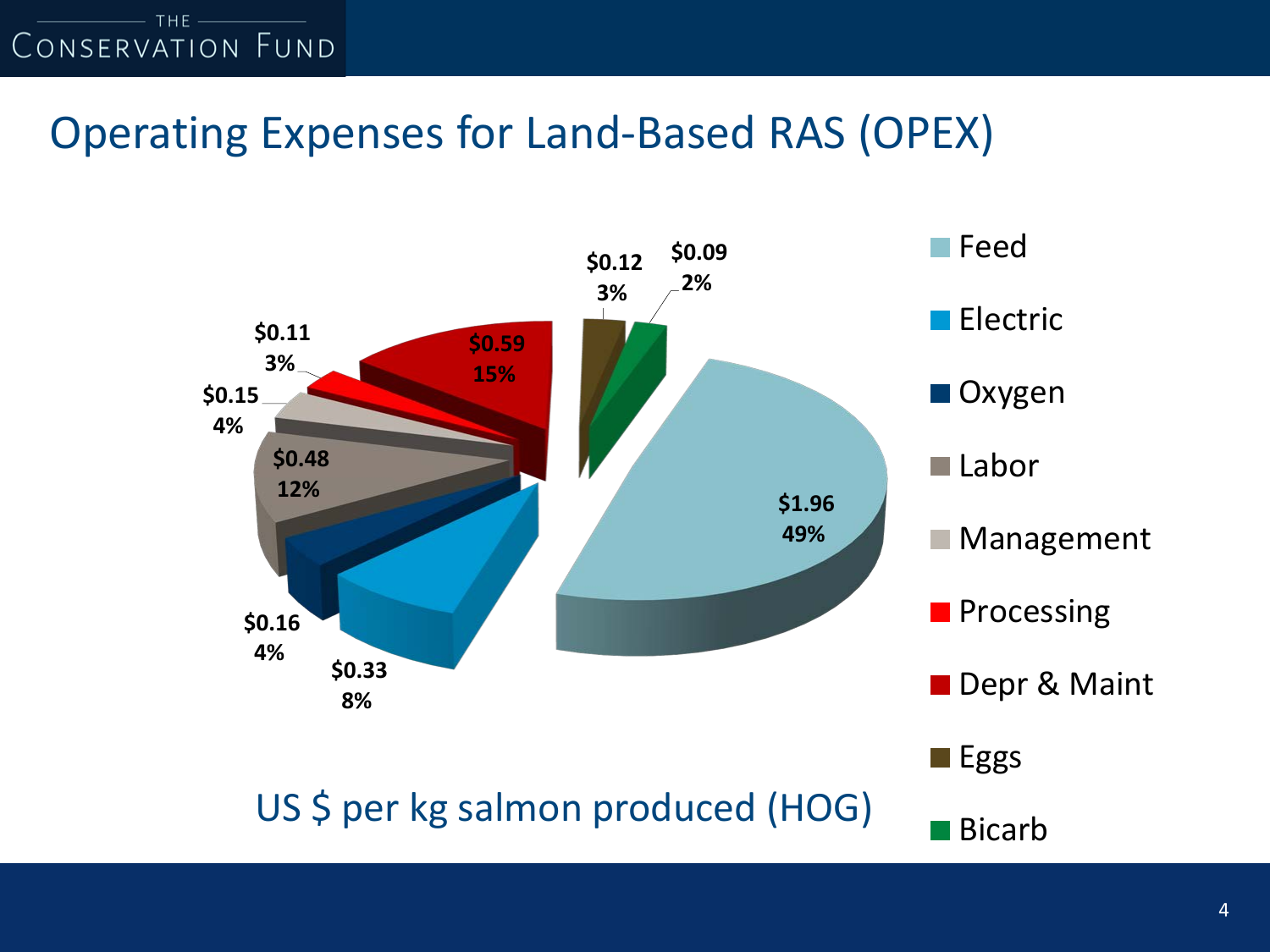

### Operating Expenses for Land-Based RAS (OPEX)

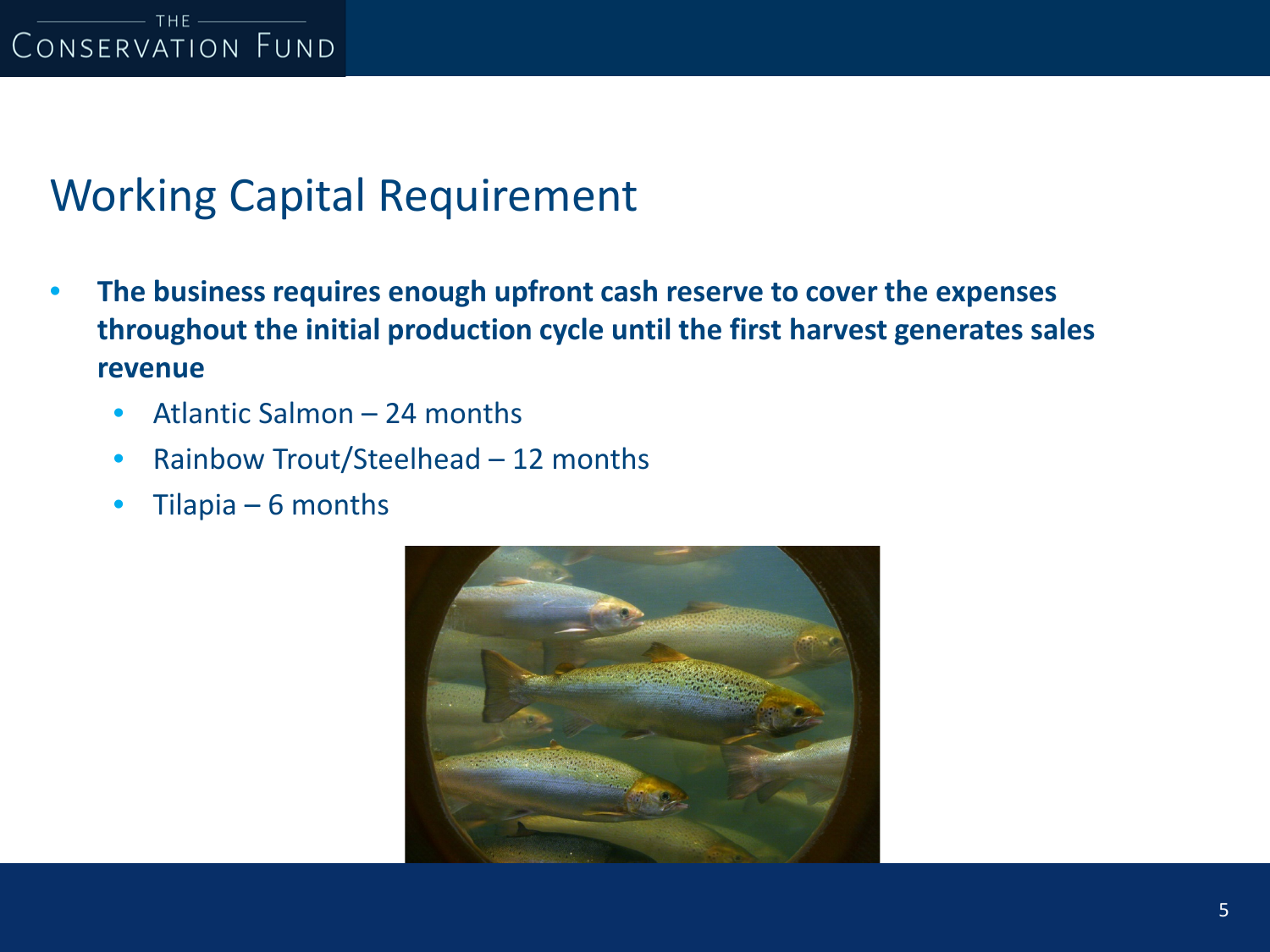## Working Capital Requirement

- **The business requires enough upfront cash reserve to cover the expenses throughout the initial production cycle until the first harvest generates sales revenue**
	- Atlantic Salmon 24 months
	- Rainbow Trout/Steelhead 12 months
	- Tilapia  $6$  months

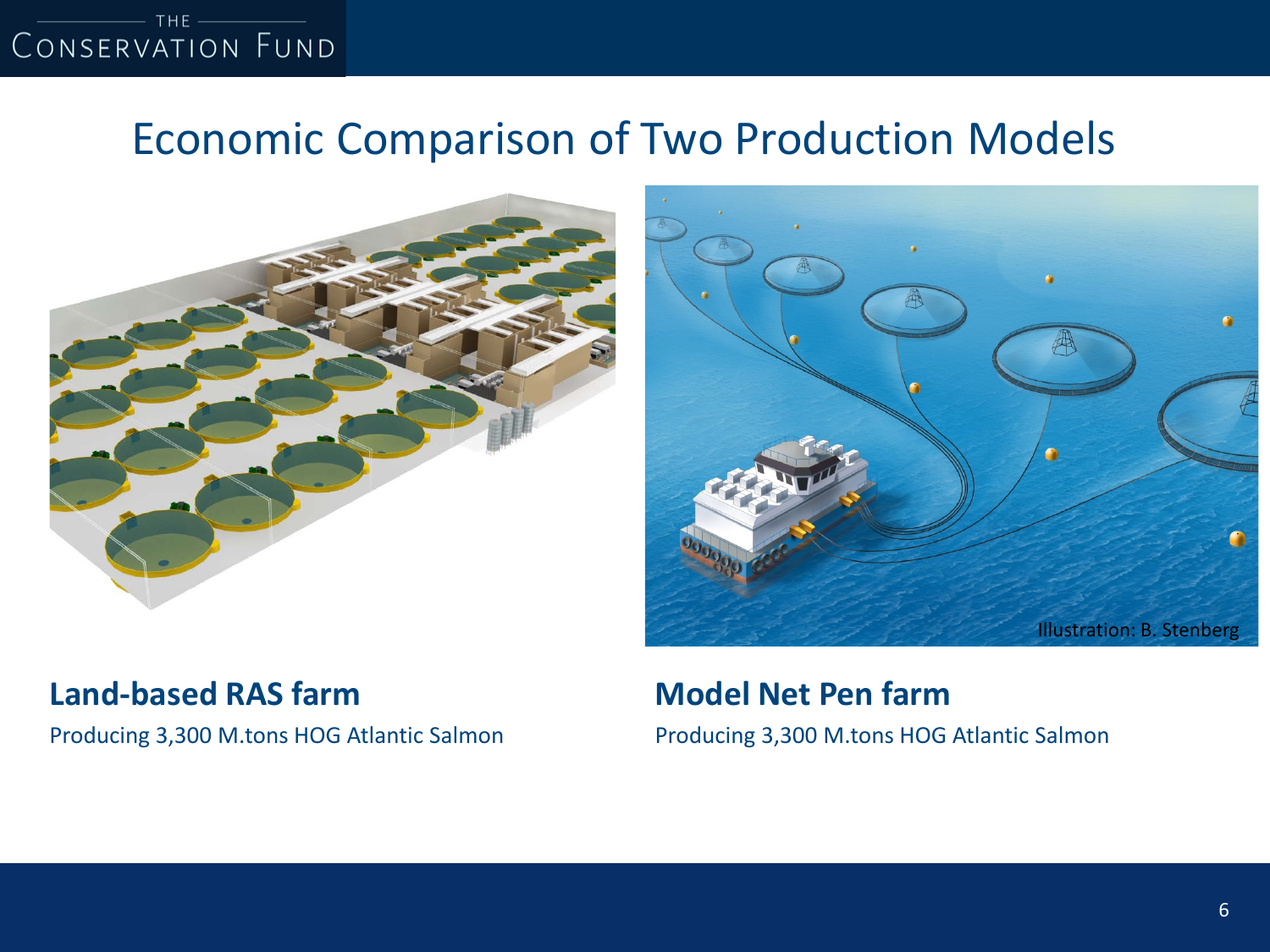### Economic Comparison of Two Production Models



### **Land-based RAS farm**

Producing 3,300 M.tons HOG Atlantic Salmon



### **Model Net Pen farm**

Producing 3,300 M.tons HOG Atlantic Salmon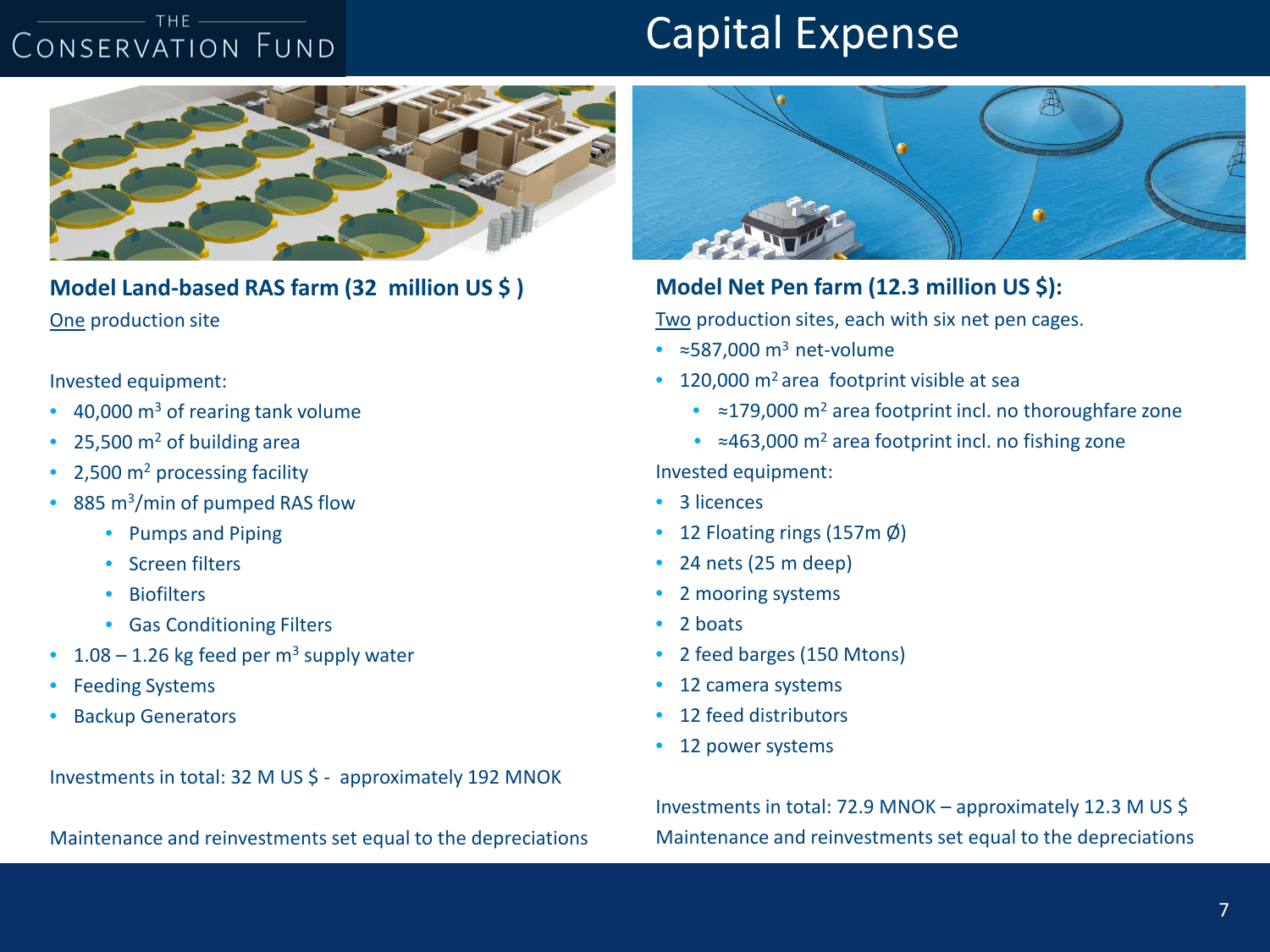#### $-THE =$ CONSERVATION FUND

### Capital Expense



**Model Land-based RAS farm (32 million US \$ )** One production site

Invested equipment:

- $\cdot$  40,000 m<sup>3</sup> of rearing tank volume
- 25,500  $m<sup>2</sup>$  of building area
- 2,500 m<sup>2</sup> processing facility
- 885 m<sup>3</sup>/min of pumped RAS flow
	- Pumps and Piping
	- Screen filters
	- Biofilters
	- Gas Conditioning Filters
- 1.08 1.26 kg feed per  $m<sup>3</sup>$  supply water
- Feeding Systems
- **Backup Generators**

Investments in total: 32 M US \$ - approximately 192 MNOK

Maintenance and reinvestments set equal to the depreciations



### **Model Net Pen farm (12.3 million US \$):**

Two production sites, each with six net pen cages.

- $\approx$  587,000 m<sup>3</sup> net-volume
- 120,000 m<sup>2</sup> area footprint visible at sea
	- ≈179,000 m2 area footprint incl. no thoroughfare zone
	- $\approx$ 463,000 m<sup>2</sup> area footprint incl. no fishing zone

Invested equipment:

- 3 licences
- 12 Floating rings (157m $\phi$ )
- 24 nets (25 m deep)
- 2 mooring systems
- 2 boats
- 2 feed barges (150 Mtons)
- 12 camera systems
- 12 feed distributors
- 12 power systems

Investments in total: 72.9 MNOK – approximately 12.3 M US \$ Maintenance and reinvestments set equal to the depreciations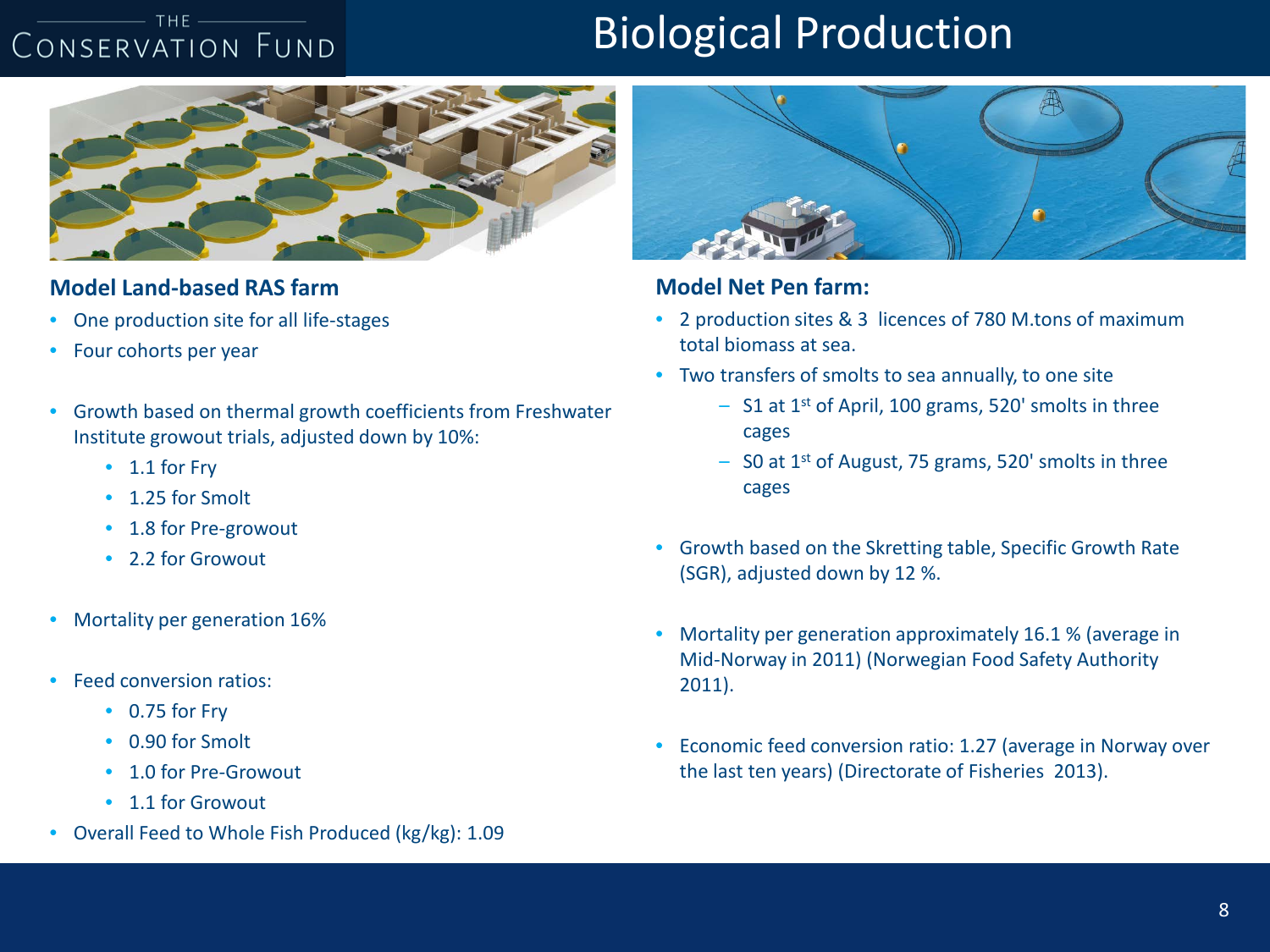#### $-$  THE  $-$ CONSERVATION FUND

# Biological Production



#### **Model Land-based RAS farm**

- One production site for all life-stages
- Four cohorts per year
- Growth based on thermal growth coefficients from Freshwater Institute growout trials, adjusted down by 10%:
	- 1.1 for Fry
	- 1.25 for Smolt
	- 1.8 for Pre-growout
	- 2.2 for Growout
- Mortality per generation 16%
- Feed conversion ratios:
	- 0.75 for Fry
	- 0.90 for Smolt
	- 1.0 for Pre-Growout
	- 1.1 for Growout
- Overall Feed to Whole Fish Produced (kg/kg): 1.09



#### **Model Net Pen farm:**

- 2 production sites & 3 licences of 780 M.tons of maximum total biomass at sea.
- Two transfers of smolts to sea annually, to one site
	- S1 at 1st of April, 100 grams, 520' smolts in three cages
	- $-$  S0 at 1<sup>st</sup> of August, 75 grams, 520' smolts in three cages
- Growth based on the Skretting table, Specific Growth Rate (SGR), adjusted down by 12 %.
- Mortality per generation approximately 16.1 % (average in Mid-Norway in 2011) (Norwegian Food Safety Authority 2011).
- Economic feed conversion ratio: 1.27 (average in Norway over the last ten years) (Directorate of Fisheries 2013).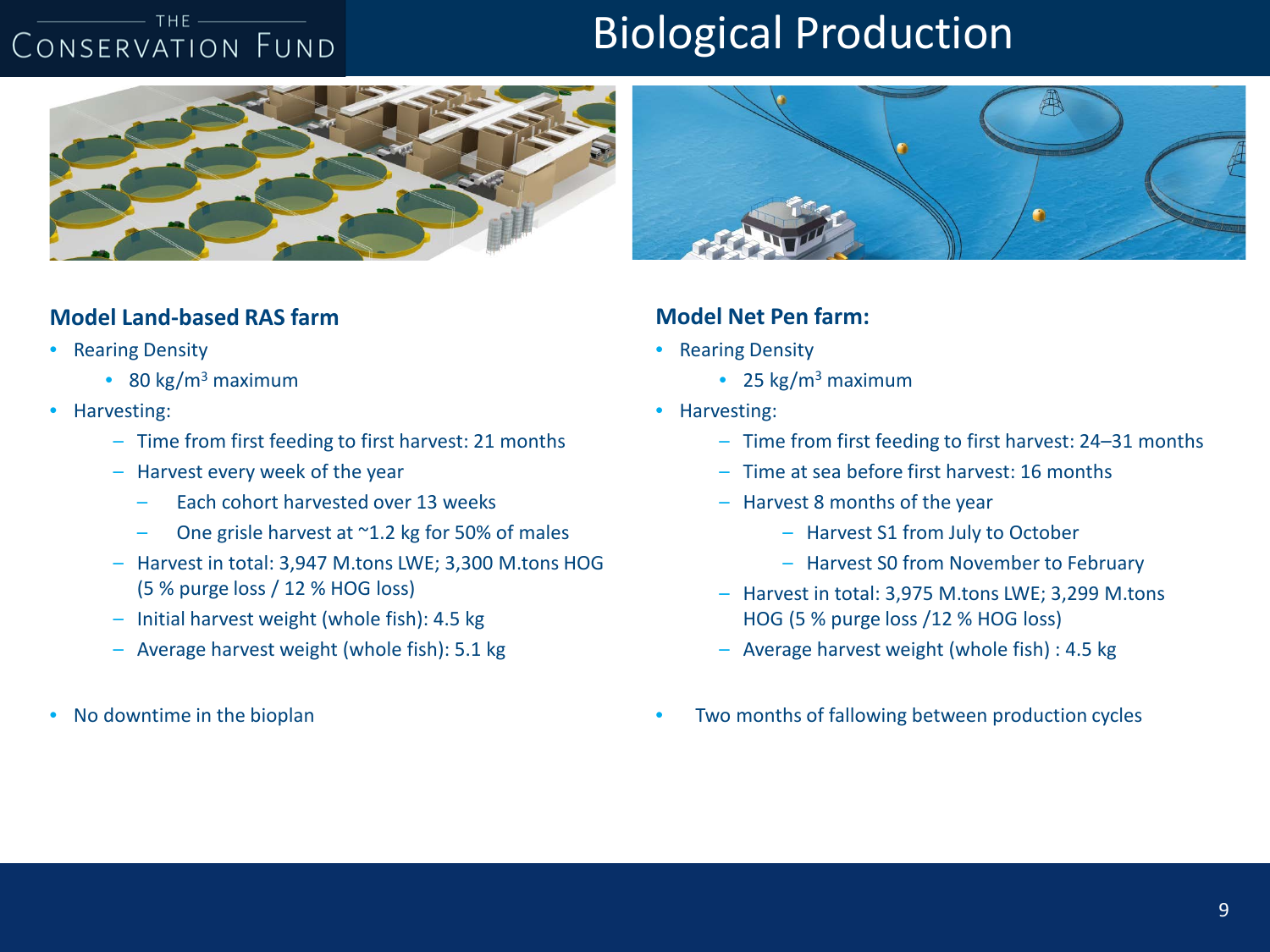#### $-$  THE  $-$ CONSERVATION FUND

### Biological Production



#### **Model Land-based RAS farm**

- Rearing Density
	- 80 kg/ $m^3$  maximum
- Harvesting:
	- Time from first feeding to first harvest: 21 months
	- Harvest every week of the year
		- Each cohort harvested over 13 weeks
		- One grisle harvest at  $^{\sim}$ 1.2 kg for 50% of males
	- Harvest in total: 3,947 M.tons LWE; 3,300 M.tons HOG (5 % purge loss / 12 % HOG loss)
	- Initial harvest weight (whole fish): 4.5 kg
	- Average harvest weight (whole fish): 5.1 kg
- No downtime in the bioplan



#### **Model Net Pen farm:**

- Rearing Density
	- 25  $kg/m<sup>3</sup>$  maximum
- Harvesting:
	- Time from first feeding to first harvest: 24–31 months
	- Time at sea before first harvest: 16 months
	- Harvest 8 months of the year
		- Harvest S1 from July to October
		- Harvest S0 from November to February
	- Harvest in total: 3,975 M.tons LWE; 3,299 M.tons HOG (5 % purge loss /12 % HOG loss)
	- Average harvest weight (whole fish) : 4.5 kg
- Two months of fallowing between production cycles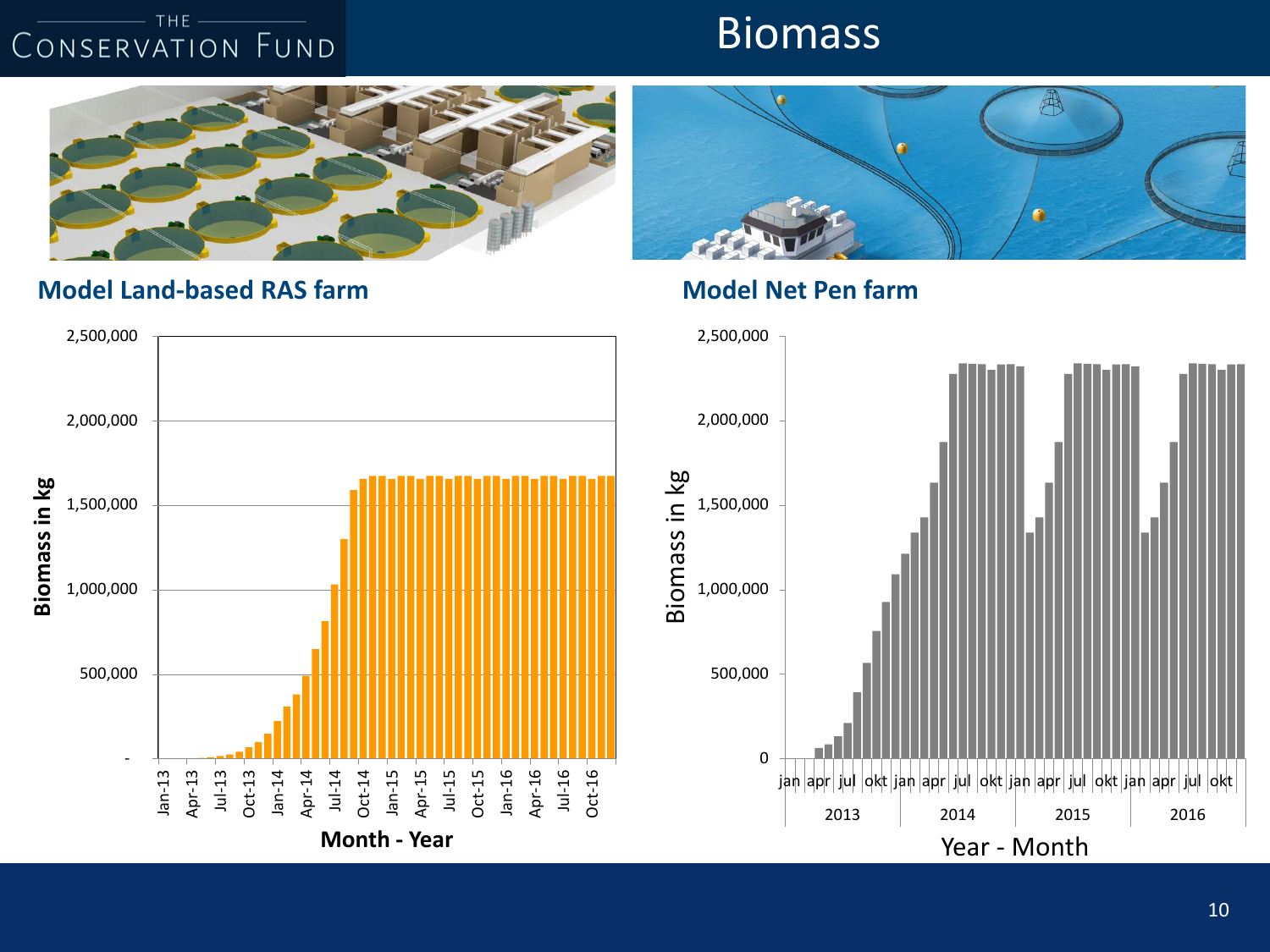### **Biomass**



### **Model Land-based RAS farm Model Net Pen farm**



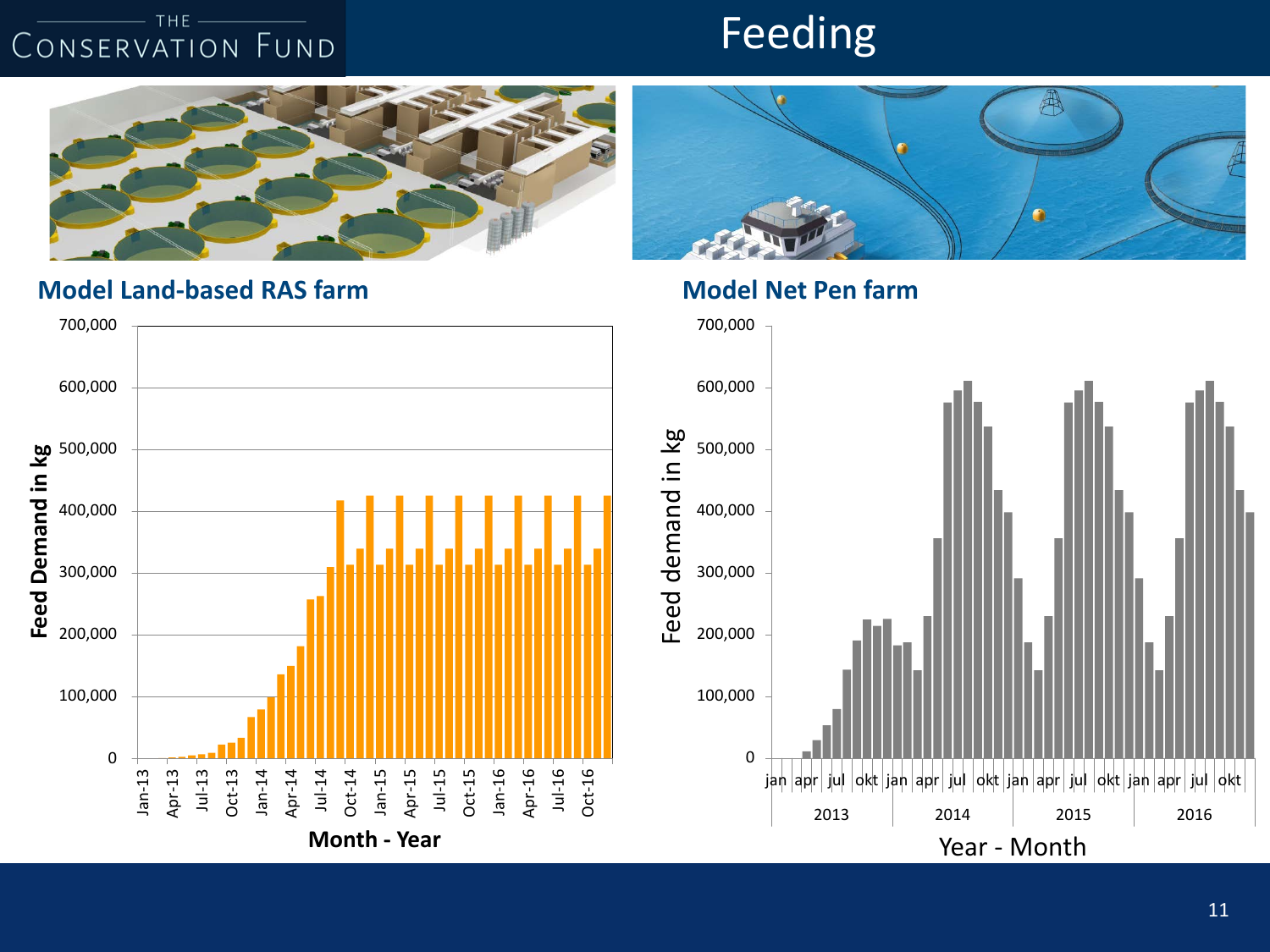### Feeding



### **Model Land-based RAS farm Model Net Pen farm**





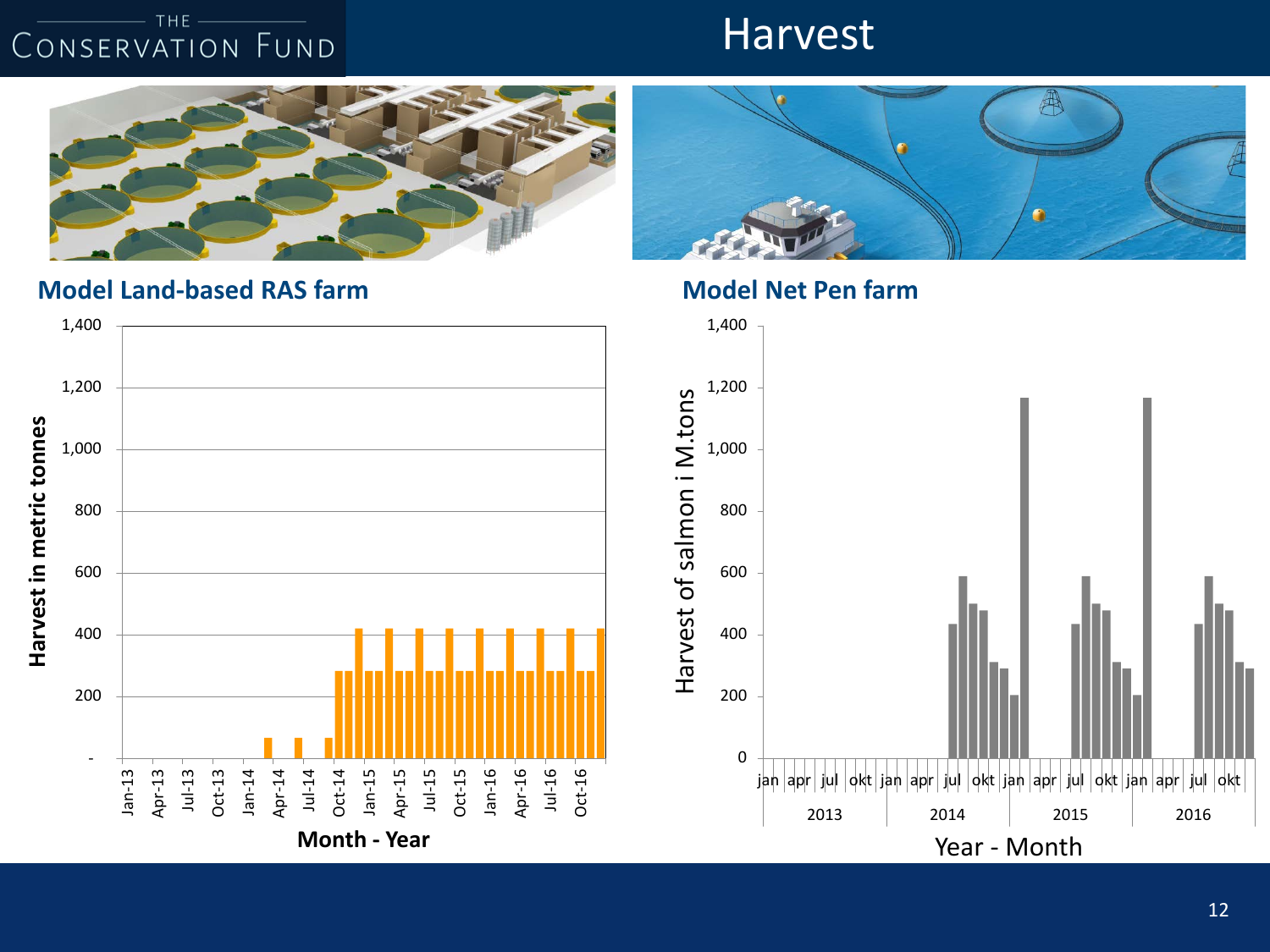### **Harvest**



**Model Land-based RAS farm Model Net Pen farm** 



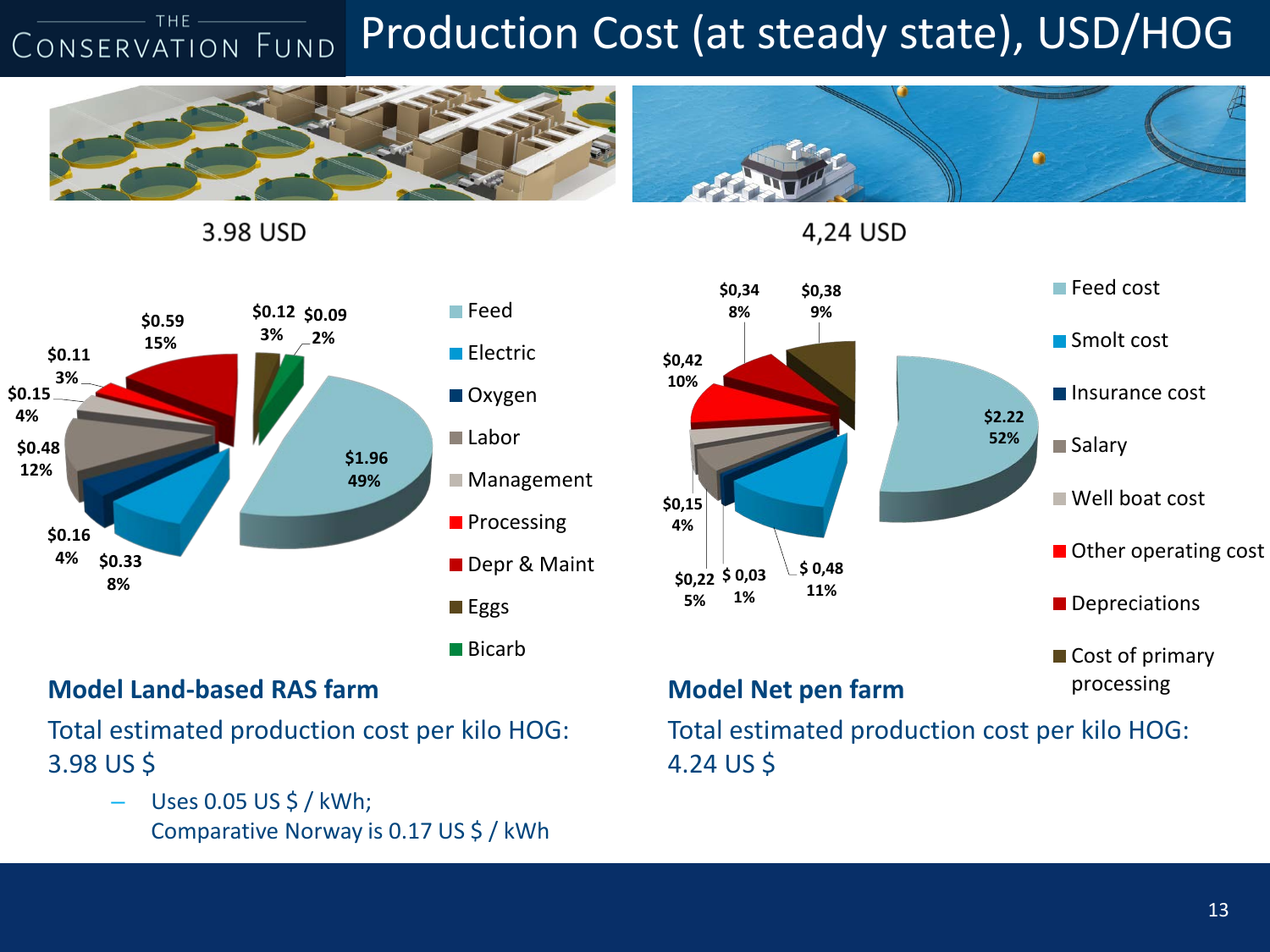#### THE-Production Cost (at steady state), USD/HOG CONSERVATION FUND



3.98 USD





### **Model Land-based RAS farm**

Total estimated production cost per kilo HOG: 3.98 US \$

> – Uses 0.05 US \$ / kWh; Comparative Norway is 0.17 US \$ / kWh

### **Model Net pen farm**

Total estimated production cost per kilo HOG: 4.24 US \$

processing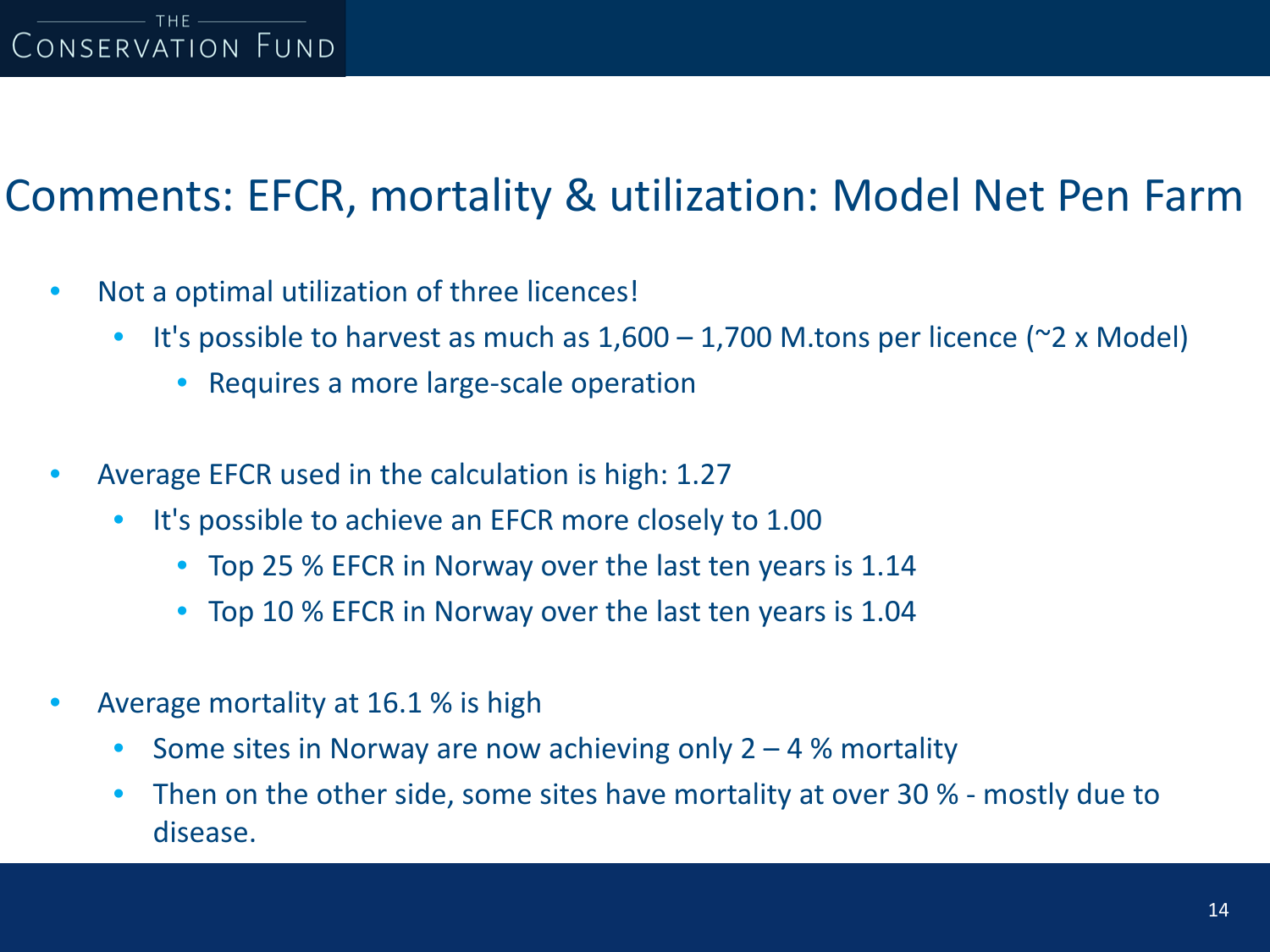### Comments: EFCR, mortality & utilization: Model Net Pen Farm

- Not a optimal utilization of three licences!
	- It's possible to harvest as much as  $1,600 1,700$  M.tons per licence ( $\approx$ 2 x Model)
		- Requires a more large-scale operation
- Average EFCR used in the calculation is high: 1.27
	- It's possible to achieve an EFCR more closely to 1.00
		- Top 25 % EFCR in Norway over the last ten years is 1.14
		- Top 10 % EFCR in Norway over the last ten years is 1.04
- Average mortality at 16.1 % is high
	- Some sites in Norway are now achieving only  $2 4$  % mortality
	- Then on the other side, some sites have mortality at over 30 % mostly due to disease.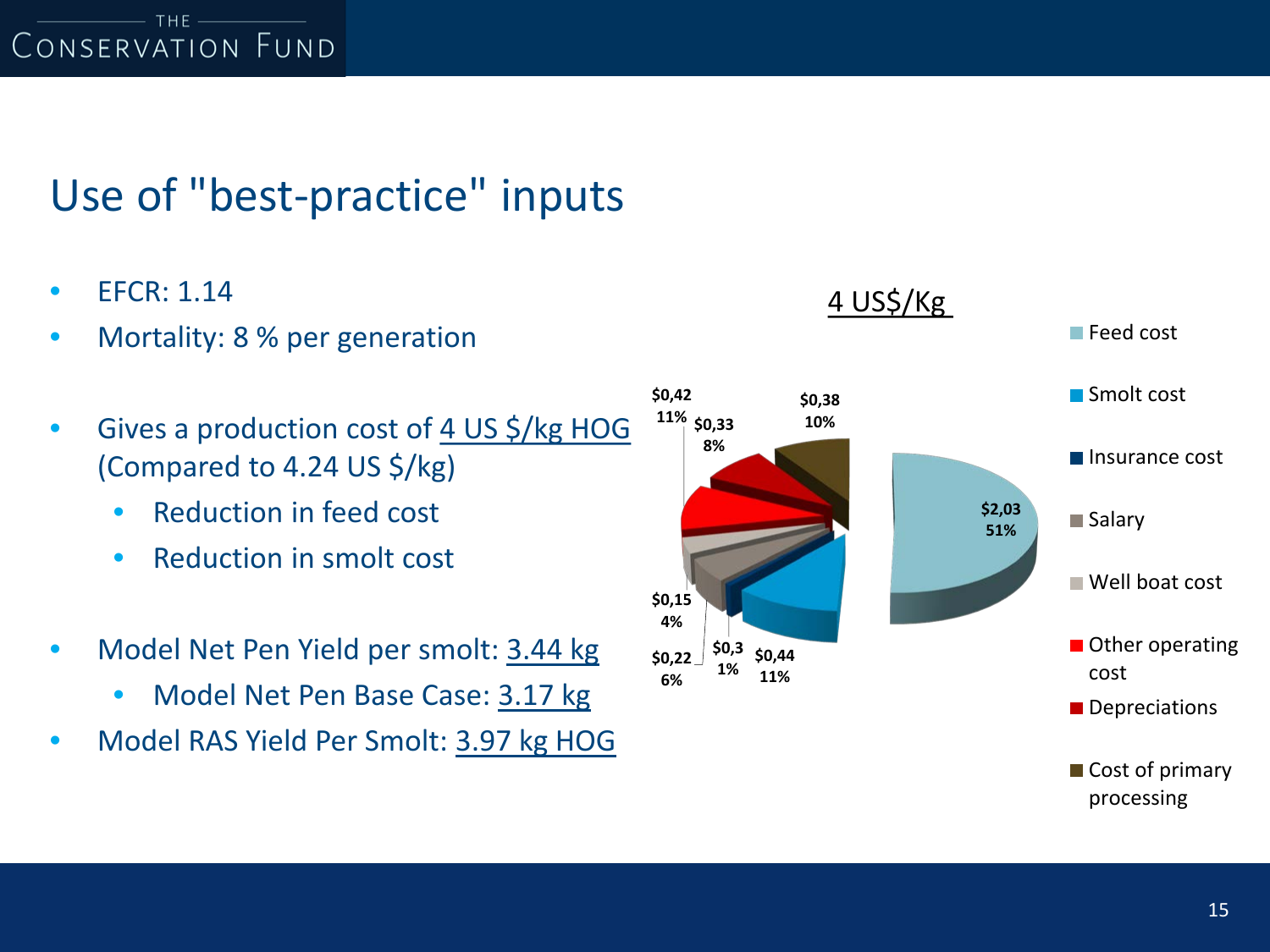# Use of "best-practice" inputs

- EFCR: 1.14
- Mortality: 8 % per generation
- Gives a production cost of 4 US \$/kg HOG (Compared to 4.24 US \$/kg)
	- Reduction in feed cost
	- Reduction in smolt cost
- Model Net Pen Yield per smolt: 3.44 kg
	- Model Net Pen Base Case: 3.17 kg
- Model RAS Yield Per Smolt: 3.97 kg HOG

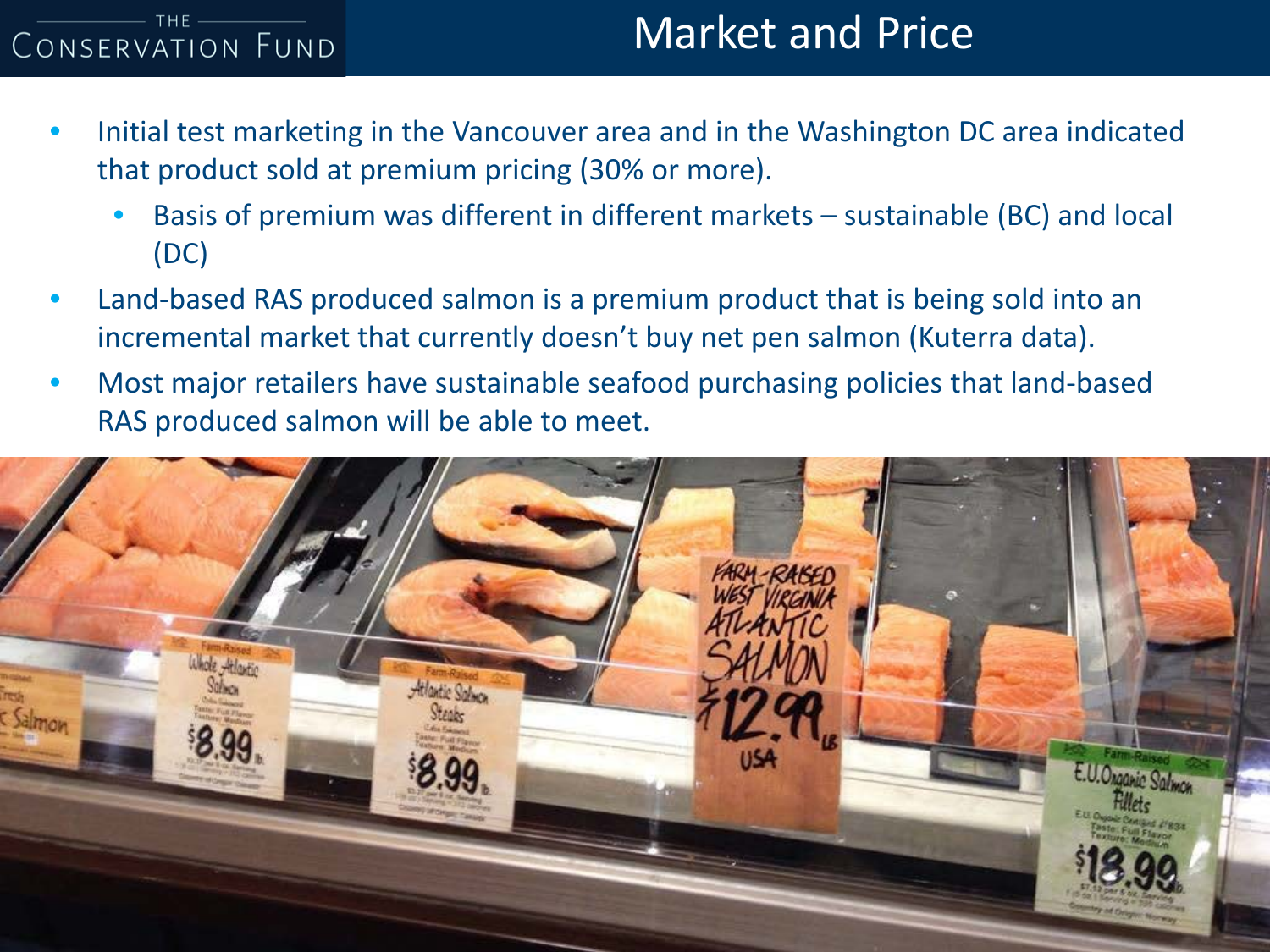# Market and Price

- Initial test marketing in the Vancouver area and in the Washington DC area indicated that product sold at premium pricing (30% or more).
	- Basis of premium was different in different markets sustainable (BC) and local (DC)
- Land-based RAS produced salmon is a premium product that is being sold into an incremental market that currently doesn't buy net pen salmon (Kuterra data).
- Most major retailers have sustainable seafood purchasing policies that land-based RAS produced salmon will be able to meet.

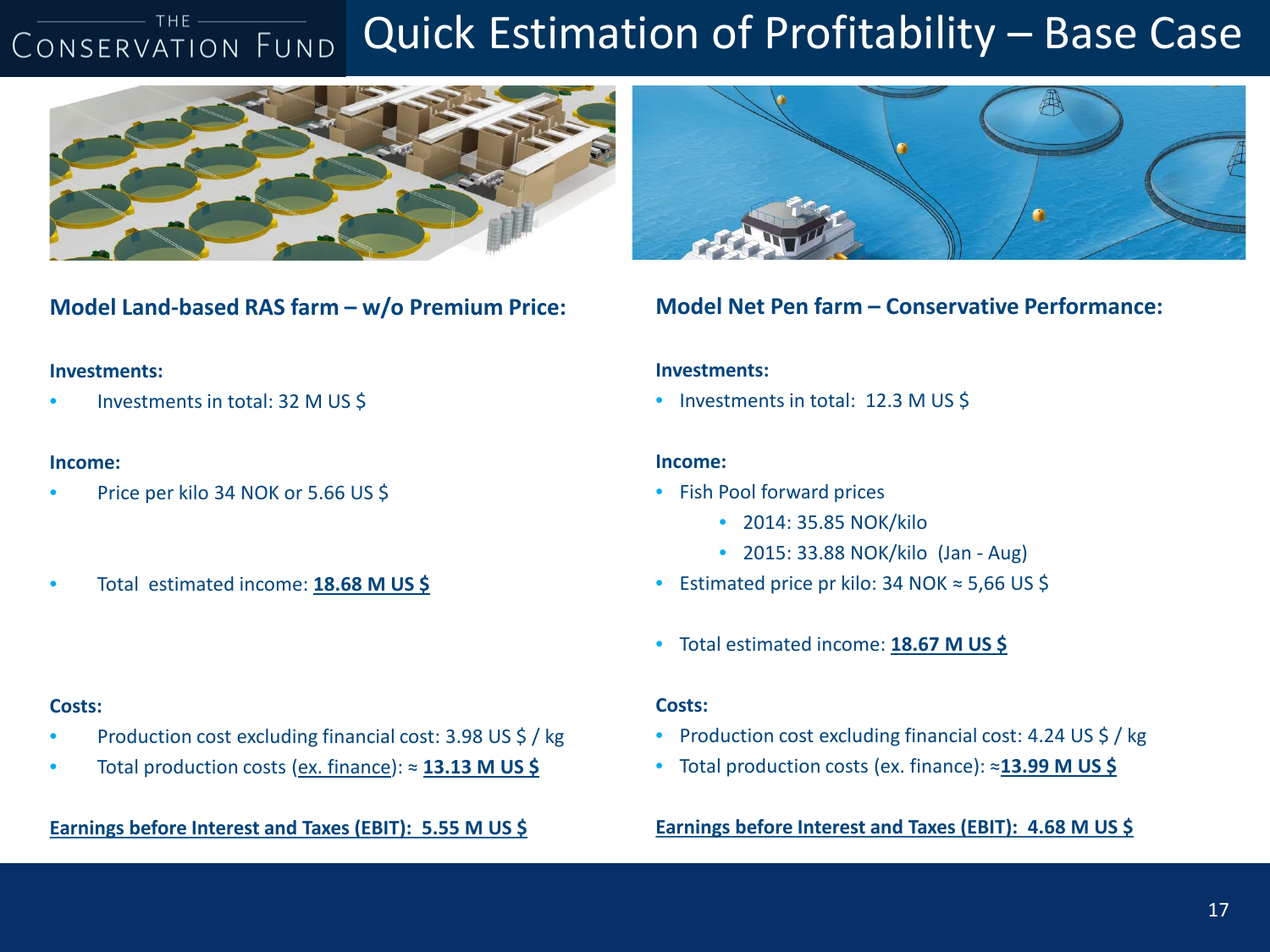#### Quick Estimation of Profitability – Base Case CONSERVATION FUND



**Model Land-based RAS farm – w/o Premium Price:**

#### **Investments:**

• Investments in total: 32 M US \$

#### **Income:**

- Price per kilo 34 NOK or 5.66 US \$
- Total estimated income: **18.68 M US \$**



**Model Net Pen farm – Conservative Performance:**

#### **Investments:**

• Investments in total: 12.3 M US \$

#### **Income:**

- Fish Pool forward prices
	- 2014: 35.85 NOK/kilo
	- 2015: 33.88 NOK/kilo (Jan Aug)
- Estimated price pr kilo: 34 NOK ≈ 5,66 US \$
- Total estimated income: **18.67 M US \$**

#### **Costs:**

- Production cost excluding financial cost: 4.24 US \$ / kg
- Total production costs (ex. finance): ≈**13.99 M US \$**

**Earnings before Interest and Taxes (EBIT): 4.68 M US \$**

#### **Costs:**

- Production cost excluding financial cost: 3.98 US \$ / kg
- Total production costs (ex. finance): ≈ **13.13 M US \$**

**Earnings before Interest and Taxes (EBIT): 5.55 M US \$**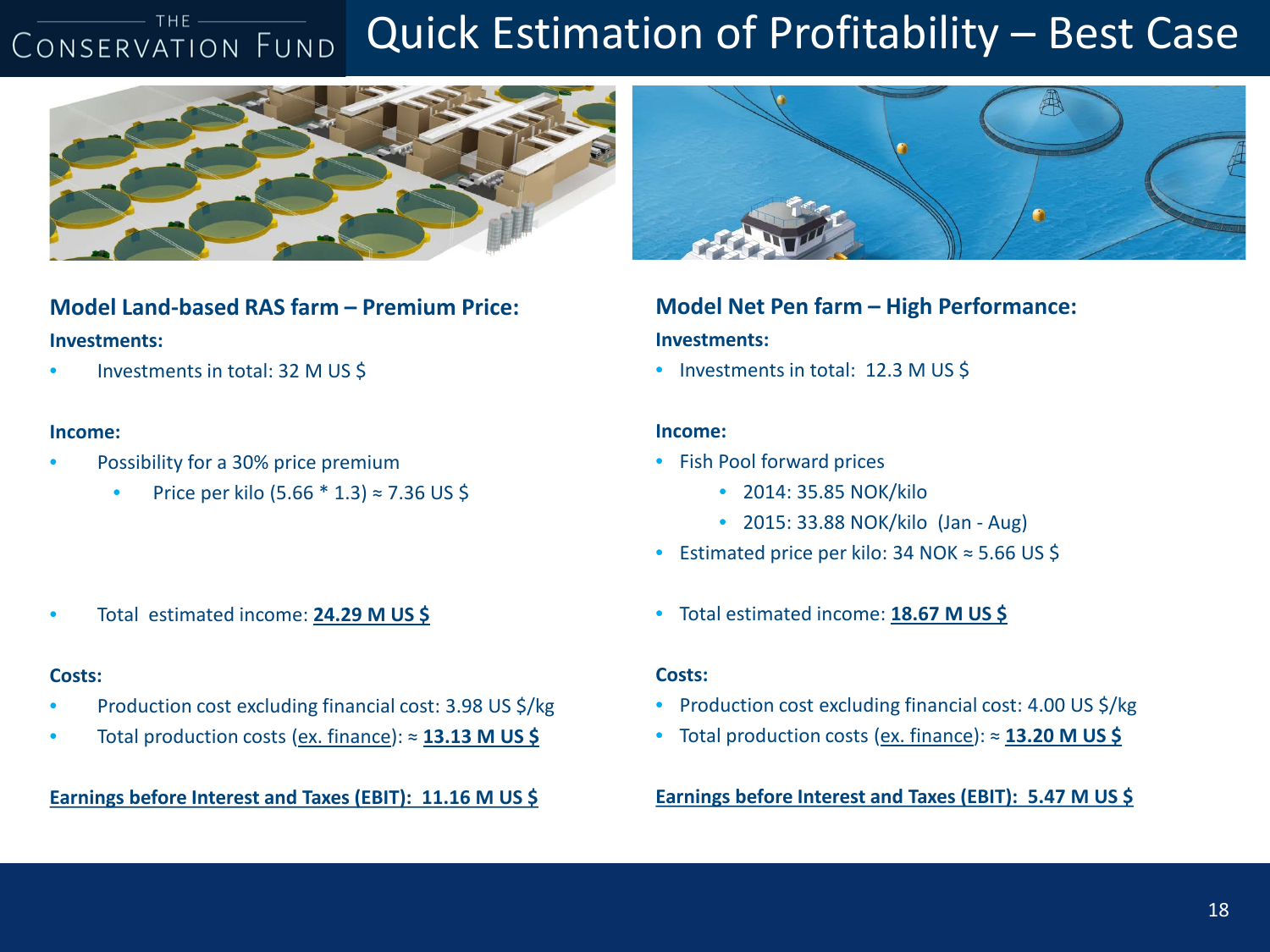#### **THE** Quick Estimation of Profitability – Best Case CONSERVATION FUND



#### **Model Land-based RAS farm – Premium Price: Investments:**

• Investments in total: 32 M US \$

#### **Income:**

- Possibility for a 30% price premium
	- Price per kilo (5.66  $*$  1.3) ≈ 7.36 US \$

• Total estimated income: **24.29 M US \$**

#### **Costs:**

- Production cost excluding financial cost: 3.98 US \$/kg
- Total production costs (ex. finance): ≈ **13.13 M US \$**

**Earnings before Interest and Taxes (EBIT): 11.16 M US \$**



#### **Model Net Pen farm – High Performance: Investments:**

• Investments in total: 12.3 M US \$

#### **Income:**

- Fish Pool forward prices
	- 2014: 35.85 NOK/kilo
	- 2015: 33.88 NOK/kilo (Jan Aug)
- Estimated price per kilo: 34 NOK ≈ 5.66 US \$
- Total estimated income: **18.67 M US \$**

#### **Costs:**

- Production cost excluding financial cost: 4.00 US \$/kg
- Total production costs (ex. finance): ≈ **13.20 M US \$**

**Earnings before Interest and Taxes (EBIT): 5.47 M US \$**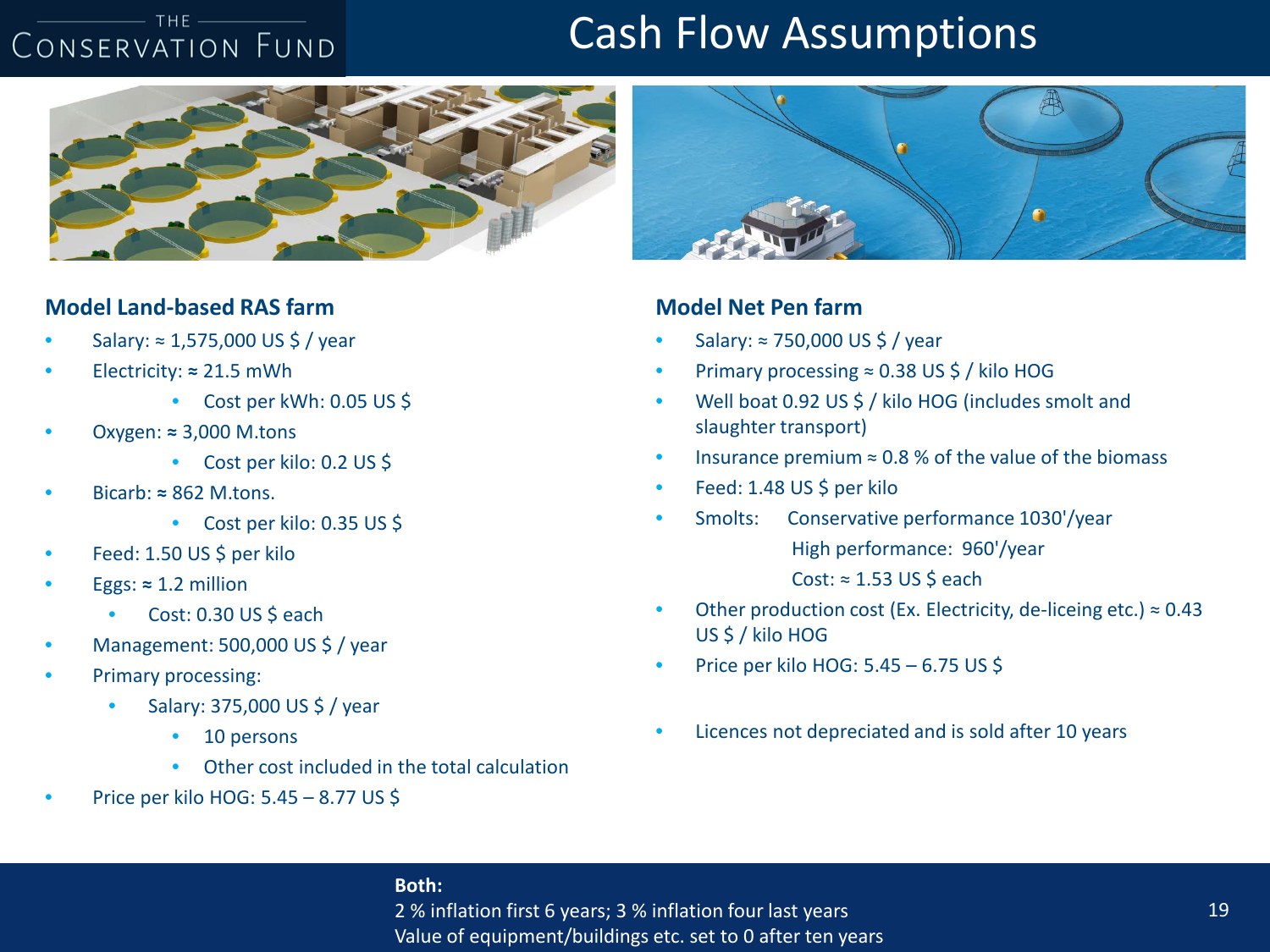#### $-$  THE  $-$ CONSERVATION FUND

### Cash Flow Assumptions



#### **Model Land-based RAS farm**

- Salary: ≈ 1,575,000 US \$ / year
- Electricity: **≈** 21.5 mWh
	- Cost per kWh: 0.05 US \$
- Oxygen: **≈** 3,000 M.tons
	- Cost per kilo: 0.2 US \$
- Bicarb: **≈** 862 M.tons.
	- Cost per kilo: 0.35 US \$
- Feed: 1.50 US \$ per kilo
- $Eggs: \approx 1.2$  million
	- Cost: 0.30 US \$ each
- Management: 500,000 US \$ / year
- Primary processing:
	- Salary: 375,000 US \$ / year
		- 10 persons
		- Other cost included in the total calculation
- Price per kilo HOG: 5.45 8.77 US \$



#### **Model Net Pen farm**

- Salary: ≈ 750,000 US \$ / year
- Primary processing ≈ 0.38 US \$ / kilo HOG
- Well boat 0.92 US \$ / kilo HOG (includes smolt and slaughter transport)
- Insurance premium  $\approx$  0.8 % of the value of the biomass
- Feed: 1.48 US \$ per kilo
- Smolts: Conservative performance 1030'/year High performance: 960'/year Cost:  $≈ 1.53 US $ each$
- Other production cost (Ex. Electricity, de-liceing etc.)  $\approx 0.43$ US \$ / kilo HOG
- Price per kilo HOG: 5.45 6.75 US \$
- Licences not depreciated and is sold after 10 years

#### **Both:**

2 % inflation first 6 years; 3 % inflation four last years Value of equipment/buildings etc. set to 0 after ten years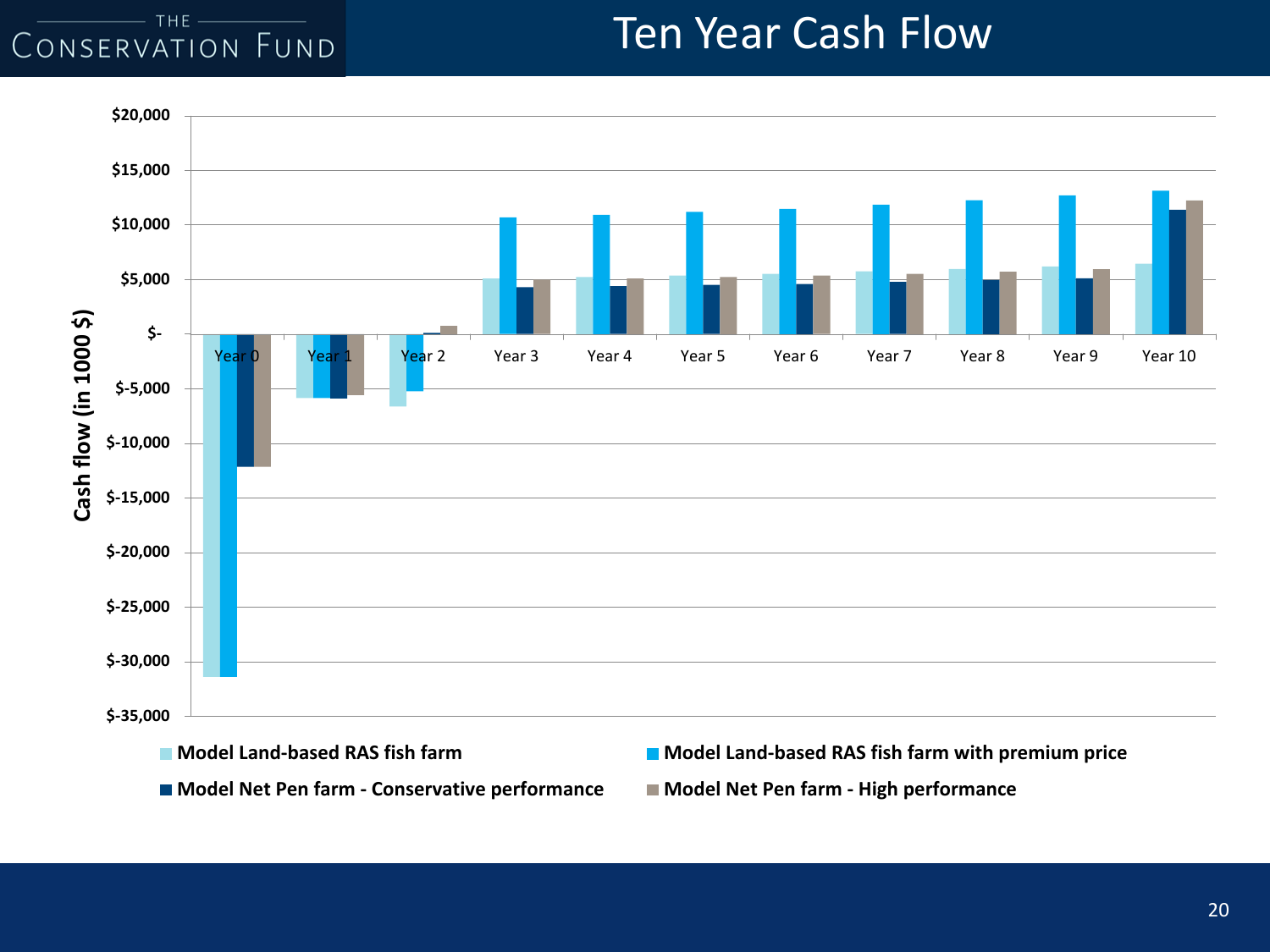#### $THE -$ CONSERVATION FUND

### Ten Year Cash Flow

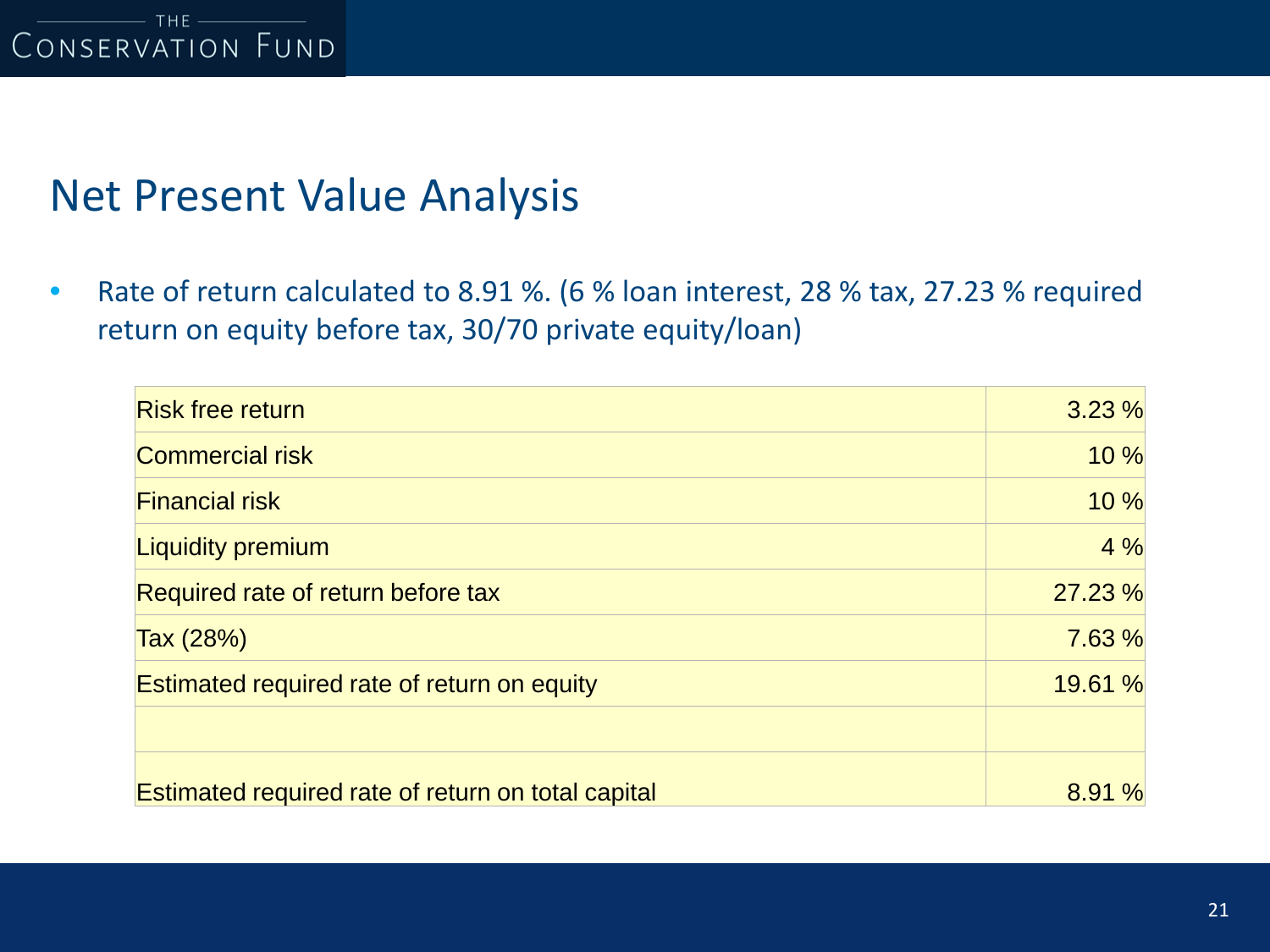### Net Present Value Analysis

• Rate of return calculated to 8.91 %. (6 % loan interest, 28 % tax, 27.23 % required return on equity before tax, 30/70 private equity/loan)

| <b>Risk free return</b>                            | 3.23%   |
|----------------------------------------------------|---------|
| <b>Commercial risk</b>                             | 10 %    |
| <b>Financial risk</b>                              | 10 %    |
| <b>Liquidity premium</b>                           | 4%      |
| Required rate of return before tax                 | 27.23 % |
| Tax (28%)                                          | 7.63 %  |
| Estimated required rate of return on equity        | 19.61 % |
|                                                    |         |
| Estimated required rate of return on total capital | 8.91%   |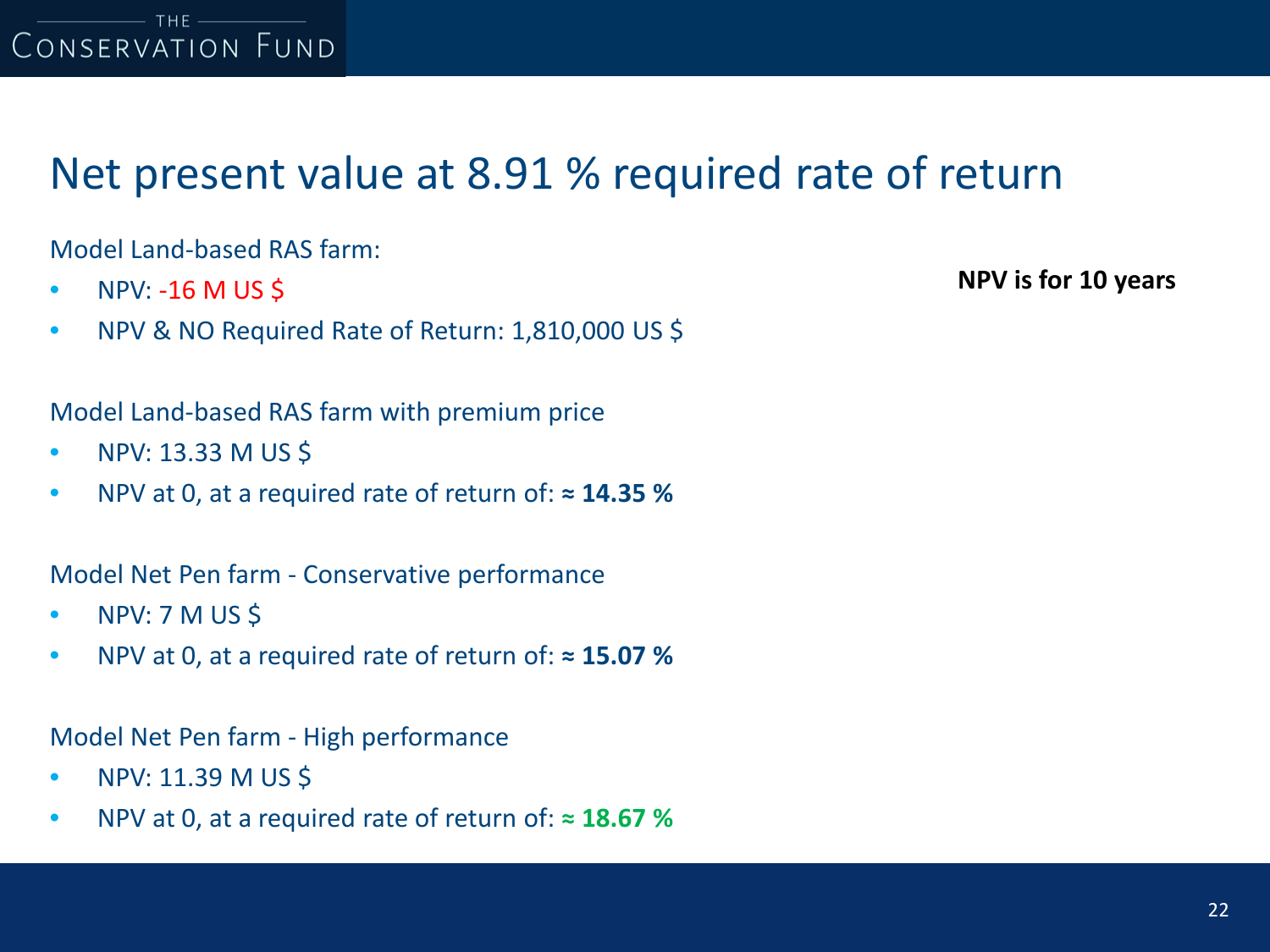

### Net present value at 8.91 % required rate of return

Model Land-based RAS farm:

- NPV:  $-16$  M US \$
- NPV & NO Required Rate of Return: 1,810,000 US \$

Model Land-based RAS farm with premium price

- NPV: 13.33 M US \$
- NPV at 0, at a required rate of return of: **≈ 14.35 %**

Model Net Pen farm - Conservative performance

- NPV: 7 M US \$
- NPV at 0, at a required rate of return of: **≈ 15.07 %**

Model Net Pen farm - High performance

- NPV: 11.39 M US \$
- NPV at 0, at a required rate of return of: **≈ 18.67 %**

**NPV is for 10 years**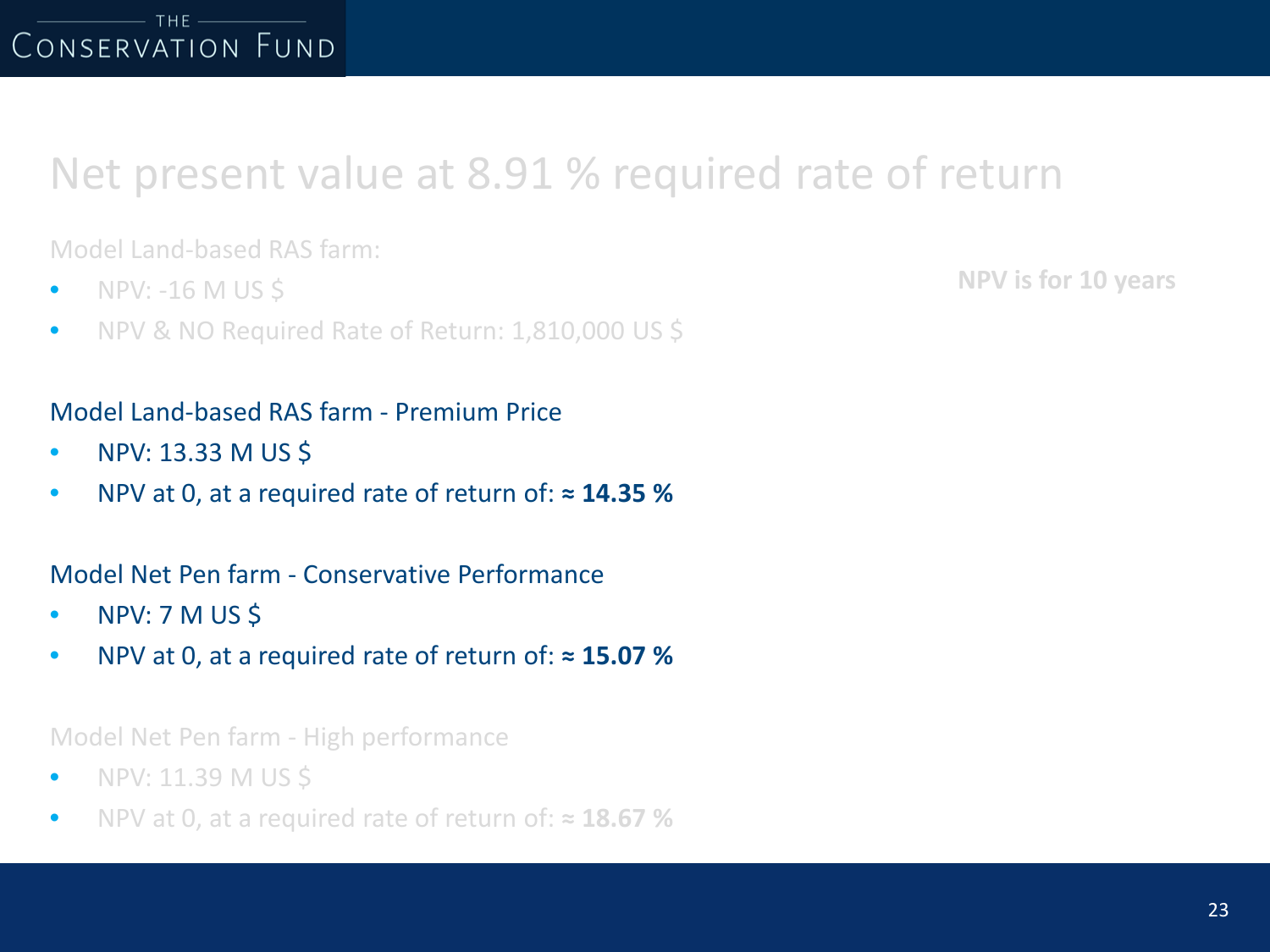### Net present value at 8.91 % required rate of return

Model Land-based RAS farm:

- $\bullet$  NPV: -16 M US S
- NPV & NO Required Rate of Return: 1,810,000 US \$

### Model Land-based RAS farm - Premium Price

- NPV: 13.33 M US \$
- NPV at 0, at a required rate of return of: **≈ 14.35 %**

### Model Net Pen farm - Conservative Performance

- NPV: 7 M US \$
- NPV at 0, at a required rate of return of: **≈ 15.07 %**

#### Model Net Pen farm - High performance

- NPV: 11.39 M US \$
- NPV at 0, at a required rate of return of: **≈ 18.67 %**

**NPV is for 10 years**